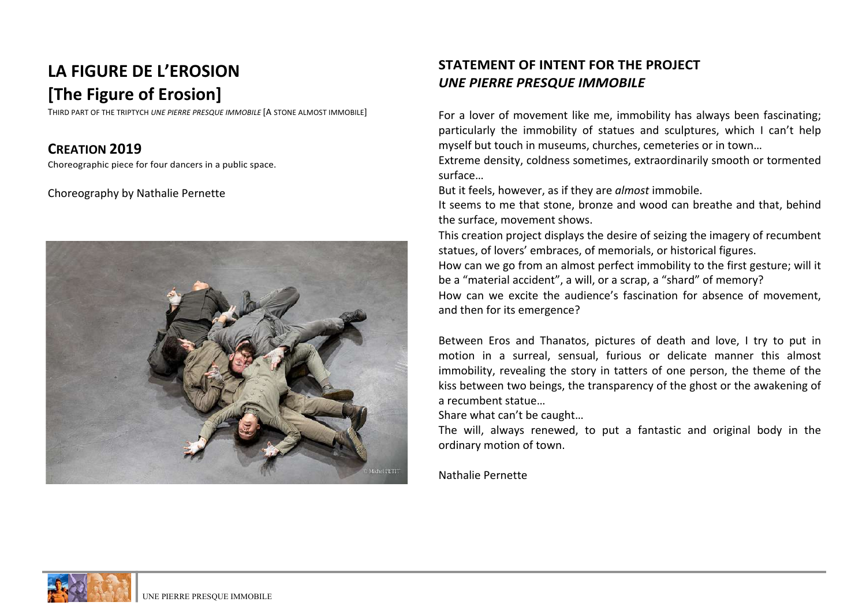# LA FIGURE DE L'EROSION **[The Figure of Erosion]**

THIRD PART OF THE TRIPTYCH *UNE PIERRE PRESQUE IMMOBILE* [A STONE ALMOST IMMOBILE]

## **CREATION 2019**

Choreographic piece for four dancers in a public space.

#### Choreography by Nathalie Pernette



## **STATEMENT OF INTENT FOR THE PROJECT UNE PIERRE PRESQUE IMMOBILE**

For a lover of movement like me, immobility has always been fascinating; particularly the immobility of statues and sculptures, which I can't help myself but touch in museums, churches, cemeteries or in town...

Extreme density, coldness sometimes, extraordinarily smooth or tormented surface…

But it feels, however, as if they are *almost* immobile.

It seems to me that stone, bronze and wood can breathe and that, behind the surface, movement shows.

This creation project displays the desire of seizing the imagery of recumbent statues, of lovers' embraces, of memorials, or historical figures.

How can we go from an almost perfect immobility to the first gesture; will it be a "material accident", a will, or a scrap, a "shard" of memory? How can we excite the audience's fascination for absence of movement.

and then for its emergence?

Between Eros and Thanatos, pictures of death and love. I try to put in motion in a surreal, sensual, furious or delicate manner this almost immobility, revealing the story in tatters of one person, the theme of the kiss between two beings, the transparency of the ghost or the awakening of a recumbent statue...

Share what  $can't$  be caught...

The will, always renewed, to put a fantastic and original body in the ordinary motion of town.

Nathalie Pernette

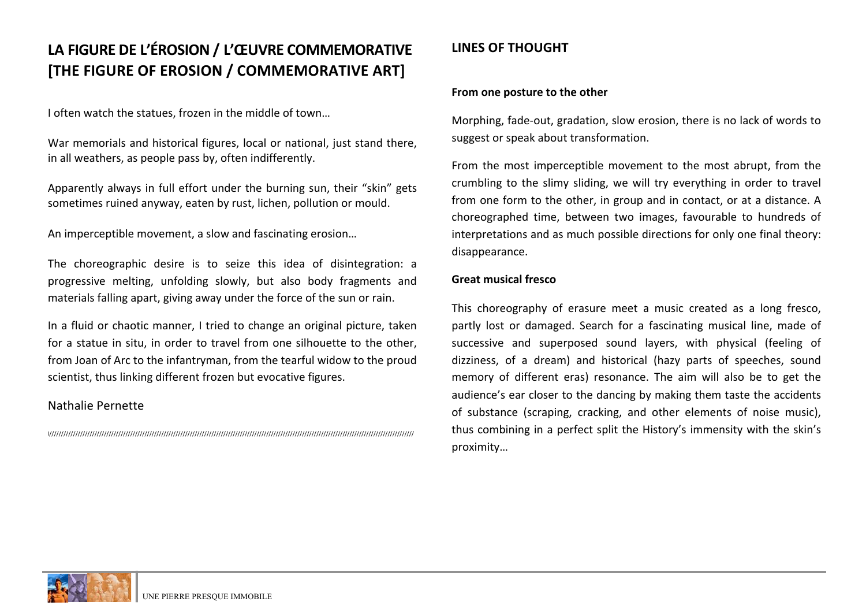## LA FIGURE DE L'ÉROSION / L'ŒUVRE COMMEMORATIVE **[THE FIGURE OF EROSION / COMMEMORATIVE ART]**

I often watch the statues, frozen in the middle of town...

War memorials and historical figures, local or national, just stand there, in all weathers, as people pass by, often indifferently.

Apparently always in full effort under the burning sun, their "skin" gets sometimes ruined anyway, eaten by rust, lichen, pollution or mould.

An imperceptible movement, a slow and fascinating erosion...

The choreographic desire is to seize this idea of disintegration: a progressive melting, unfolding slowly, but also body fragments and materials falling apart, giving away under the force of the sun or rain.

In a fluid or chaotic manner, I tried to change an original picture, taken for a statue in situ, in order to travel from one silhouette to the other, from Joan of Arc to the infantryman, from the tearful widow to the proud scientist, thus linking different frozen but evocative figures.

#### Nathalie Pernette

l/////////////////////////////////////////////////////////////////////////////////////////////////////////////////////////////////////////////////////////

## **LINES OF THOUGHT**

#### From one posture to the other

Morphing, fade-out, gradation, slow erosion, there is no lack of words to suggest or speak about transformation.

From the most imperceptible movement to the most abrupt, from the crumbling to the slimy sliding, we will try everything in order to travel from one form to the other, in group and in contact, or at a distance. A choreographed time, between two images, favourable to hundreds of interpretations and as much possible directions for only one final theory: disappearance.

#### **Great musical fresco**

This choreography of erasure meet a music created as a long fresco, partly lost or damaged. Search for a fascinating musical line, made of successive and superposed sound layers, with physical (feeling of dizziness, of a dream) and historical (hazy parts of speeches, sound memory of different eras) resonance. The aim will also be to get the audience's ear closer to the dancing by making them taste the accidents of substance (scraping, cracking, and other elements of noise music), thus combining in a perfect split the History's immensity with the skin's proximity…

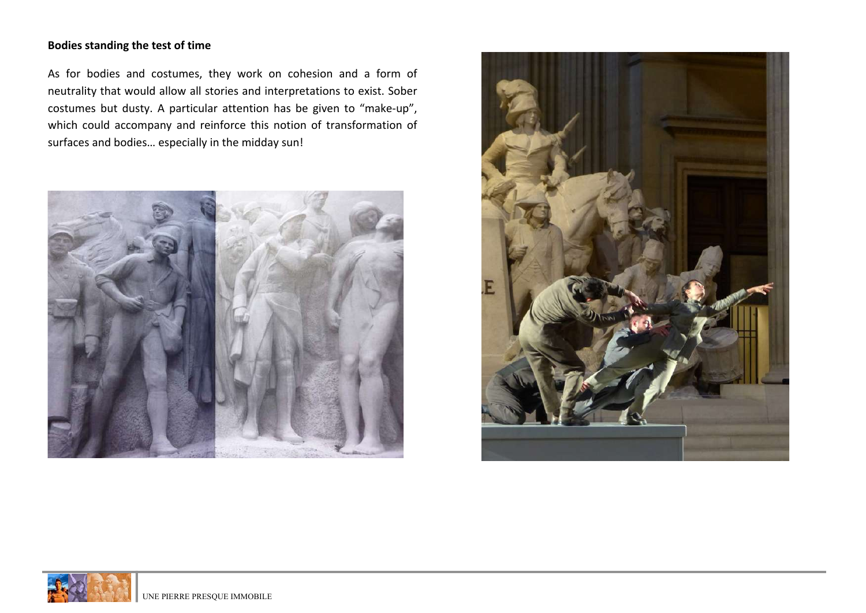#### **Bodies standing the test of time**

As for bodies and costumes, they work on cohesion and a form of neutrality that would allow all stories and interpretations to exist. Sober costumes but dusty. A particular attention has be given to "make-up", which could accompany and reinforce this notion of transformation of surfaces and bodies... especially in the midday sun!





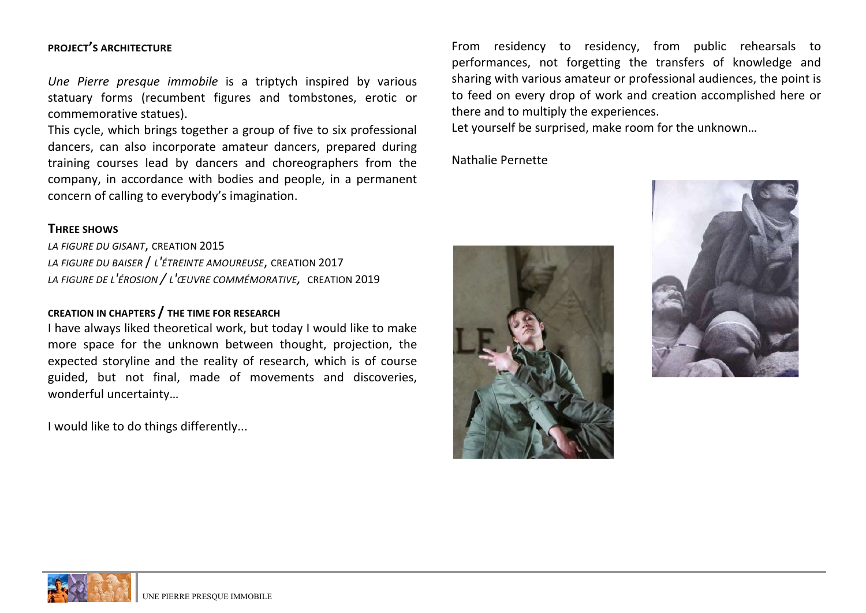#### **PROJECT'S ARCHITECTURE**

*Une Pierre presque immobile* is a triptych inspired by various statuary forms (recumbent figures and tombstones, erotic or commemorative statues).

This cycle, which brings together a group of five to six professional dancers, can also incorporate amateur dancers, prepared during training courses lead by dancers and choreographers from the company, in accordance with bodies and people, in a permanent concern of calling to everybody's imagination.

#### **THREE SHOWS**

LA FIGURE DU GISANT, CREATION 2015 *LA FIGURE DU BAISER* / *L'ÉTREINTE AMOUREUSE*, CREATION 2017 *LA FIGURE DE L'ÉROSION / L'ŒUVRE COMMÉMORATIVE,* CREATION 2019

#### **CREATION IN CHAPTERS / THE TIME FOR RESEARCH**

I have always liked theoretical work, but today I would like to make more space for the unknown between thought, projection, the expected storyline and the reality of research, which is of course guided, but not final, made of movements and discoveries, wonderful uncertainty…

I would like to do things differently...

From residency to residency, from public rehearsals to performances, not forgetting the transfers of knowledge and sharing with various amateur or professional audiences, the point is to feed on every drop of work and creation accomplished here or there and to multiply the experiences.

Let yourself be surprised, make room for the unknown...

Nathalie Pernette





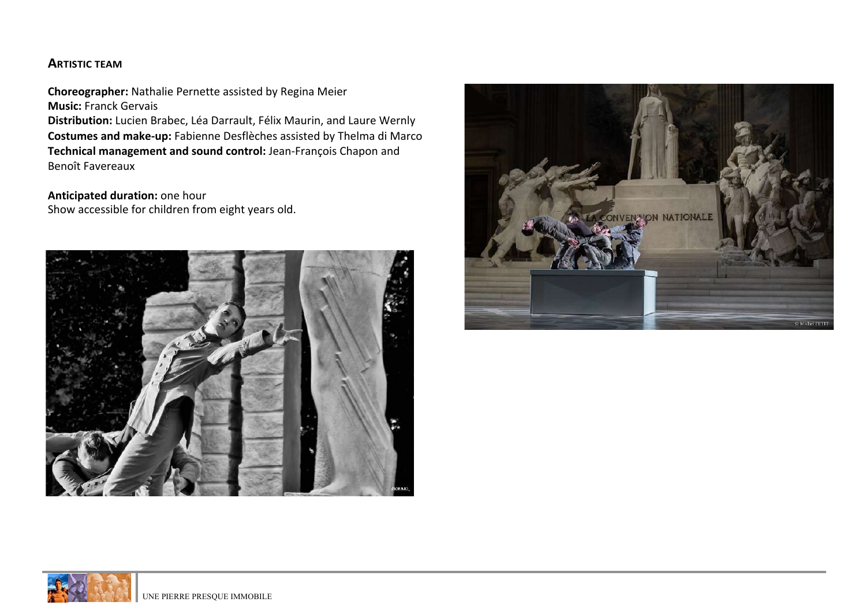#### **ARTISTIC TEAM**

**Choreographer:** Nathalie Pernette assisted by Regina Meier **Music: Franck Gervais Distribution:** Lucien Brabec, Léa Darrault, Félix Maurin, and Laure Wernly **Costumes and make-up:** Fabienne Desflèches assisted by Thelma di Marco **Technical management and sound control:** Jean-François Chapon and Benoît Favereaux

**Anticipated duration:** one hour Show accessible for children from eight years old.





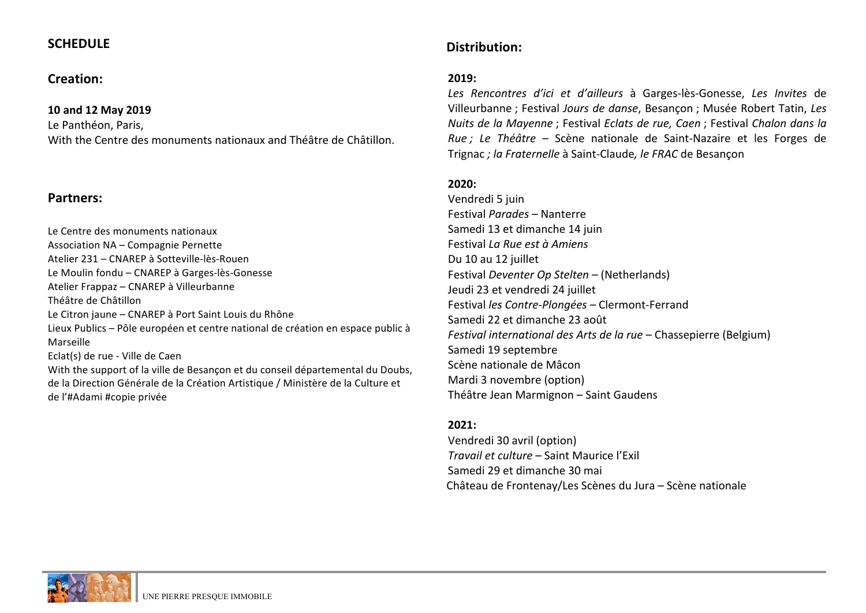### **SCHEDULE**

#### **Creation:**

#### **10 and 12 May 2019**

Le Panthéon, Paris,

With the Centre des monuments nationaux and Théâtre de Châtillon.

#### **Partners:**

Le Centre des monuments nationaux Association NA - Compagnie Pernette Atelier 231 – CNAREP à Sotteville-lès-Rouen Le Moulin fondu – CNAREP à Garges-lès-Gonesse Atelier Frappaz – CNAREP à Villeurbanne Théâtre de Châtillon Le Citron jaune – CNAREP à Port Saint Louis du Rhône Lieux Publics – Pôle européen et centre national de création en espace public à Marseille Eclat(s) de rue - Ville de Caen With the support of la ville de Besancon et du conseil départemental du Doubs, de la Direction Générale de la Création Artistique / Ministère de la Culture et

de l'#Adami #copie privée

### Distribution:

#### **2019:**

*Les Rencontres d'ici et d'ailleurs*  à Garges-lès-Gonesse, *Les Invites* de Villeurbanne ; Festival *Jours de danse*, Besancon ; Musée Robert Tatin, Les *Nuits* de la Mayenne : Festival *Eclats* de rue, Caen : Festival Chalon dans la *Rue* ; Le Théâtre – Scène nationale de Saint-Nazaire et les Forges de Trignac *; la Fraternelle* à Saint-Claude*, le FRAC* de Besançon

#### **2020:**

Vendredi 5 juin Festival *Parades* – Nanterre Samedi 13 et dimanche 14 juin Festival *La Rue est à Amiens* Du 10 au 12 juillet Festival *Deventer Op Stelten* – (Netherlands) Jeudi 23 et vendredi 24 juillet Festival les Contre-Plongées - Clermont-Ferrand Samedi 22 et dimanche 23 août *Festival international des Arts de la rue* – Chassepierre (Belgium) Samedi 19 septembre Scène nationale de Mâcon Mardi 3 novembre (option) Théâtre Jean Marmignon - Saint Gaudens

#### **2021:**

Vendredi 30 avril (option) *Travail et culture* – Saint Maurice l'Exil Samedi 29 et dimanche 30 mai Château de Frontenay/Les Scènes du Jura – Scène nationale